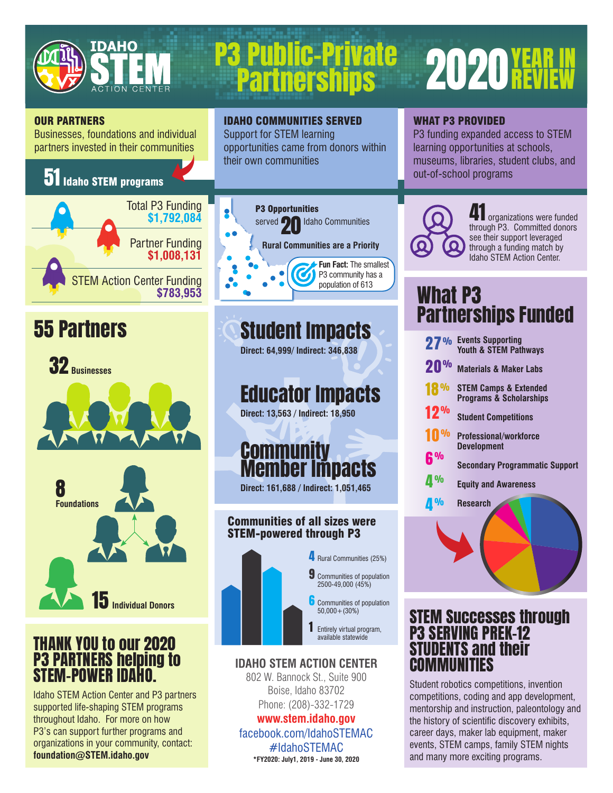

# P3 Public-Private 2020 YEAR IN<br>Partnerships 2020 REVIEW

## **2020 YEAR**

#### OUR PARTNERS

Businesses, foundations and individual partners invested in their communities

### 51 Idaho STEM programs





15 **Individual Donors**

#### THANK YOU to our 2020 P3 PARTNERS helping to STEM-POWER IDAHO.

Idaho STEM Action Center and P3 partners supported life-shaping STEM programs throughout Idaho. For more on how P3's can support further programs and organizations in your community, contact: **foundation@STEM.idaho.gov**



IDAHO COMMUNITIES SERVED Support for STEM learning

their own communities

opportunities came from donors within

## **55 Partners Student Impacts**

**Direct: 64,999/ Indirect: 346,838**

## Educator Impacts

**Direct: 13,563 / Indirect: 18,950**

## **Community** Member Impacts

**Direct: 161,688 / Indirect: 1,051,465**

#### Communities of all sizes were STEM-powered through P3



#### **IDAHO STEM ACTION CENTER**

802 W. Bannock St., Suite 900 Boise, Idaho 83702 Phone: (208)-332-1729

#### **www.stem.idaho.gov**

facebook.com/IdahoSTEMAC #IdahoSTEMAC **\*FY2020: July1, 2019 - June 30, 2020**

#### WHAT P3 PROVIDED

P3 funding expanded access to STEM learning opportunities at schools, museums, libraries, student clubs, and out-of-school programs



organizations were funded through P3. Committed donors see their support leveraged through a funding match by Idaho STEM Action Center.

## What P3 Partnerships Funded

| 27% Events Supporting<br>Youth & STEM Pathways                         |
|------------------------------------------------------------------------|
| <b>Materials &amp; Maker Labs</b>                                      |
| <b>STEM Camps &amp; Extended</b><br><b>Programs &amp; Scholarships</b> |
| <b>Student Competitions</b>                                            |
| <b>Professional/workforce</b><br><b>Development</b>                    |
| <b>Secondary Programmatic Support</b>                                  |
| <b>Equity and Awareness</b>                                            |
| Research                                                               |
|                                                                        |
|                                                                        |

### STEM Successes through P3 SERVING PREK-12 STUDENTS and their COMMUNITIES

Student robotics competitions, invention competitions, coding and app development, mentorship and instruction, paleontology and the history of scientific discovery exhibits, career days, maker lab equipment, maker events, STEM camps, family STEM nights and many more exciting programs.